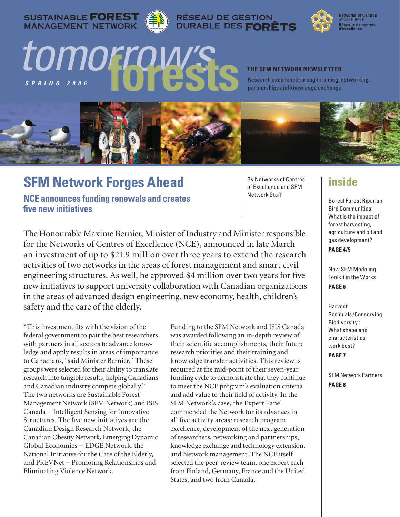SUSTAINABLE **FOREST**<br>MANAGEMENT NETWORK







**Networks of Centres<br>of Excellence** Réseaux de centres<br>d'excellence

# *S p r i n g 2 0 0 6 tomorrow's* **forests**

#### **The SFM Network Newsletter**

Research excellence through training, networking, partnerships and knowledge exchange



## **SFM Network Forges Ahead**

**NCE announces funding renewals and creates five new initiatives**

By Networks of Centres of Excellence and SFM Network Staff

The Honourable Maxime Bernier, Minister of Industry and Minister responsible for the Networks of Centres of Excellence (NCE), announced in late March an investment of up to \$21.9 million over three years to extend the research activities of two networks in the areas of forest management and smart civil engineering structures. As well, he approved \$4 million over two years for five new initiatives to support university collaboration with Canadian organizations in the areas of advanced design engineering, new economy, health, children's safety and the care of the elderly.

"This investment fits with the vision of the federal government to pair the best researchers with partners in all sectors to advance knowledge and apply results in areas of importance to Canadians," said Minister Bernier. "These groups were selected for their ability to translate research into tangible results, helping Canadians and Canadian industry compete globally." The two networks are Sustainable Forest Management Network (SFM Network) and ISIS Canada − Intelligent Sensing for Innovative Structures. The five new initiatives are the Canadian Design Research Network, the Canadian Obesity Network, Emerging Dynamic Global Economies − EDGE Network, the National Initiative for the Care of the Elderly, and PREVNet − Promoting Relationships and Eliminating Violence Network.

Funding to the SFM Network and ISIS Canada was awarded following an in-depth review of their scientific accomplishments, their future research priorities and their training and knowledge transfer activities. This review is required at the mid-point of their seven-year funding cycle to demonstrate that they continue to meet the NCE program's evaluation criteria and add value to their field of activity. In the SFM Network's case, the Expert Panel commended the Network for its advances in all five activity areas: research program excellence, development of the next generation of researchers, networking and partnerships, knowledge exchange and technology extension, and Network management. The NCE itself selected the peer-review team, one expert each from Finland, Germany, France and the United States, and two from Canada.

## **inside**

Boreal Forest Riparian Bird Communities: What is the impact of forest harvesting, agriculture and oil and gas development? **PAGE 4/5**

New SFM Modeling Toolkit in the Works **PAGE 6**

Harvest Residuals /Conserving Biodiversity : What shape and characteristics work best? **PAGE 7**

SFM Network Partners **PAGE 8**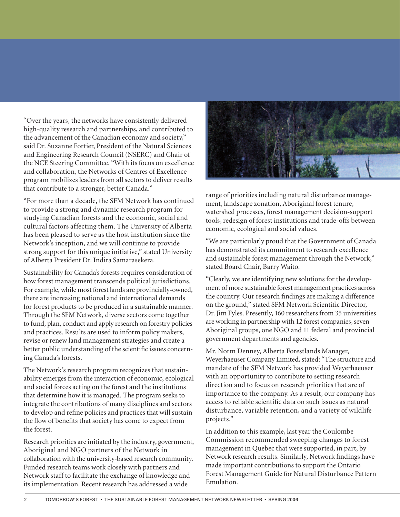"Over the years, the networks have consistently delivered high-quality research and partnerships, and contributed to the advancement of the Canadian economy and society," said Dr. Suzanne Fortier, President of the Natural Sciences and Engineering Research Council (NSERC) and Chair of the NCE Steering Committee. "With its focus on excellence and collaboration, the Networks of Centres of Excellence program mobilizes leaders from all sectors to deliver results that contribute to a stronger, better Canada."

"For more than a decade, the SFM Network has continued to provide a strong and dynamic research program for studying Canadian forests and the economic, social and cultural factors affecting them. The University of Alberta has been pleased to serve as the host institution since the Network's inception, and we will continue to provide strong support for this unique initiative," stated University of Alberta President Dr. Indira Samarasekera.

Sustainability for Canada's forests requires consideration of how forest management transcends political jurisdictions. For example, while most forest lands are provincially-owned, there are increasing national and international demands for forest products to be produced in a sustainable manner. Through the SFM Network, diverse sectors come together to fund, plan, conduct and apply research on forestry policies and practices. Results are used to inform policy makers, revise or renew land management strategies and create a better public understanding of the scientific issues concerning Canada's forests.

The Network's research program recognizes that sustainability emerges from the interaction of economic, ecological and social forces acting on the forest and the institutions that determine how it is managed. The program seeks to integrate the contributions of many disciplines and sectors to develop and refine policies and practices that will sustain the flow of benefits that society has come to expect from the forest.

Research priorities are initiated by the industry, government, Aboriginal and NGO partners of the Network in collaboration with the university-based research community. Funded research teams work closely with partners and Network staff to facilitate the exchange of knowledge and its implementation. Recent research has addressed a wide



range of priorities including natural disturbance management, landscape zonation, Aboriginal forest tenure, watershed processes, forest management decision-support tools, redesign of forest institutions and trade-offs between economic, ecological and social values.

"We are particularly proud that the Government of Canada has demonstrated its commitment to research excellence and sustainable forest management through the Network," stated Board Chair, Barry Waito.

"Clearly, we are identifying new solutions for the development of more sustainable forest management practices across the country. Our research findings are making a difference on the ground," stated SFM Network Scientific Director, Dr. Jim Fyles. Presently, 160 researchers from 35 universities are working in partnership with 12 forest companies, seven Aboriginal groups, one NGO and 11 federal and provincial government departments and agencies.

Mr. Norm Denney, Alberta Forestlands Manager, Weyerhaeuser Company Limited, stated: "The structure and mandate of the SFM Network has provided Weyerhaeuser with an opportunity to contribute to setting research direction and to focus on research priorities that are of importance to the company. As a result, our company has access to reliable scientific data on such issues as natural disturbance, variable retention, and a variety of wildlife projects."

In addition to this example, last year the Coulombe Commission recommended sweeping changes to forest management in Quebec that were supported, in part, by Network research results. Similarly, Network findings have made important contributions to support the Ontario Forest Management Guide for Natural Disturbance Pattern Emulation.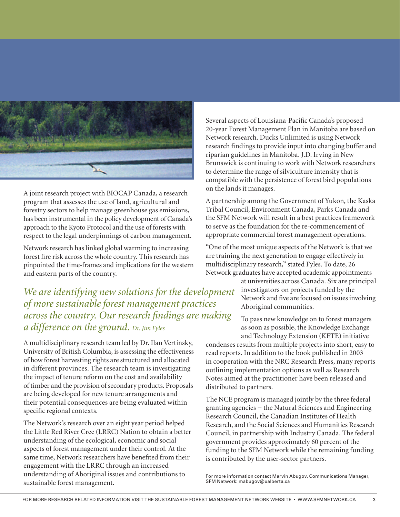

A joint research project with BIOCAP Canada, a research program that assesses the use of land, agricultural and forestry sectors to help manage greenhouse gas emissions, has been instrumental in the policy development of Canada's approach to the Kyoto Protocol and the use of forests with respect to the legal underpinnings of carbon management.

Network research has linked global warming to increasing forest fire risk across the whole country. This research has pinpointed the time-frames and implications for the western and eastern parts of the country.

*We are identifying new solutions for the development of more sustainable forest management practices across the country. Our research findings are making a difference on the ground. Dr. Jim Fyles*

A multidisciplinary research team led by Dr. Ilan Vertinsky, University of British Columbia, is assessing the effectiveness of how forest harvesting rights are structured and allocated in different provinces. The research team is investigating the impact of tenure reform on the cost and availability of timber and the provision of secondary products. Proposals are being developed for new tenure arrangements and their potential consequences are being evaluated within specific regional contexts.

The Network's research over an eight year period helped the Little Red River Cree (LRRC) Nation to obtain a better understanding of the ecological, economic and social aspects of forest management under their control. At the same time, Network researchers have benefited from their engagement with the LRRC through an increased understanding of Aboriginal issues and contributions to sustainable forest management.

Several aspects of Louisiana-Pacific Canada's proposed 20-year Forest Management Plan in Manitoba are based on Network research. Ducks Unlimited is using Network research findings to provide input into changing buffer and riparian guidelines in Manitoba. J.D. Irving in New Brunswick is continuing to work with Network researchers to determine the range of silviculture intensity that is compatible with the persistence of forest bird populations on the lands it manages.

A partnership among the Government of Yukon, the Kaska Tribal Council, Environment Canada, Parks Canada and the SFM Network will result in a best practices framework to serve as the foundation for the re-commencement of appropriate commercial forest management operations.

"One of the most unique aspects of the Network is that we are training the next generation to engage effectively in multidisciplinary research," stated Fyles. To date, 26 Network graduates have accepted academic appointments

at universities across Canada. Six are principal investigators on projects funded by the Network and five are focused on issues involving Aboriginal communities.

To pass new knowledge on to forest managers as soon as possible, the Knowledge Exchange and Technology Extension (KETE) initiative

condenses results from multiple projects into short, easy to read reports. In addition to the book published in 2003 in cooperation with the NRC Research Press, many reports outlining implementation options as well as Research Notes aimed at the practitioner have been released and distributed to partners.

The NCE program is managed jointly by the three federal granting agencies − the Natural Sciences and Engineering Research Council, the Canadian Institutes of Health Research, and the Social Sciences and Humanities Research Council, in partnership with Industry Canada. The federal government provides approximately 60 percent of the funding to the SFM Network while the remaining funding is contributed by the user-sector partners.

For more information contact Marvin Abugov, Communications Manager, SFM Network: mabugov@ualberta.ca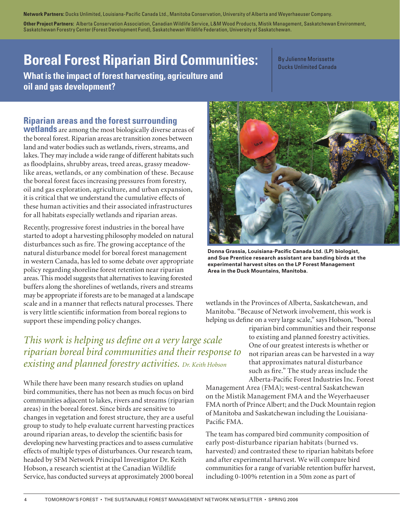**Network Partners:** Ducks Unlimited, Louisiana-Pacific Canada Ltd., Manitoba Conservation, University of Alberta and Weyerhaeuser Company.

**Other Project Partners:** Alberta Conservation Association, Canadian Wildlife Service, L&M Wood Products, Mistik Management, Saskatchewan Environment, Saskatchewan Forestry Center (Forest Development Fund), Saskatchewan Wildlife Federation, University of Saskatchewan.

## **Boreal Forest Riparian Bird Communities:**

**What is the impact of forest harvesting, agriculture and oil and gas development?**

By Julienne Morissette Ducks Unlimited Canada

### **Riparian areas and the forest surrounding**

**wetlands** are among the most biologically diverse areas of the boreal forest. Riparian areas are transition zones between land and water bodies such as wetlands, rivers, streams, and lakes. They may include a wide range of different habitats such as floodplains, shrubby areas, treed areas, grassy meadowlike areas, wetlands, or any combination of these. Because the boreal forest faces increasing pressures from forestry, oil and gas exploration, agriculture, and urban expansion, it is critical that we understand the cumulative effects of these human activities and their associated infrastructures for all habitats especially wetlands and riparian areas.

Recently, progressive forest industries in the boreal have started to adopt a harvesting philosophy modeled on natural disturbances such as fire. The growing acceptance of the natural disturbance model for boreal forest management in western Canada, has led to some debate over appropriate policy regarding shoreline forest retention near riparian areas. This model suggests that alternatives to leaving forested buffers along the shorelines of wetlands, rivers and streams may be appropriate if forests are to be managed at a landscape scale and in a manner that reflects natural processes. There is very little scientific information from boreal regions to support these impending policy changes.

## *This work is helping us define on a very large scale riparian boreal bird communities and their response to existing and planned forestry activities. Dr. Keith Hobson*

While there have been many research studies on upland bird communities, there has not been as much focus on bird communities adjacent to lakes, rivers and streams (riparian areas) in the boreal forest. Since birds are sensitive to changes in vegetation and forest structure, they are a useful group to study to help evaluate current harvesting practices around riparian areas, to develop the scientific basis for developing new harvesting practices and to assess cumulative effects of multiple types of disturbances. Our research team, headed by SFM Network Principal Investigator Dr. Keith Hobson, a research scientist at the Canadian Wildlife Service, has conducted surveys at approximately 2000 boreal



**Donna Grassia, Louisiana-Pacific Canada Ltd. (LP) biologist, and Sue Prentice research assistant are banding birds at the experimental harvest sites on the LP Forest Management Area in the Duck Mountains, Manitoba.**

wetlands in the Provinces of Alberta, Saskatchewan, and Manitoba. "Because of Network involvement, this work is helping us define on a very large scale," says Hobson, "boreal

> riparian bird communities and their response to existing and planned forestry activities. One of our greatest interests is whether or not riparian areas can be harvested in a way that approximates natural disturbance such as fire." The study areas include the Alberta-Pacific Forest Industries Inc. Forest

Management Area (FMA); west-central Saskatchewan on the Mistik Management FMA and the Weyerhaeuser FMA north of Prince Albert; and the Duck Mountain region of Manitoba and Saskatchewan including the Louisiana-Pacific FMA.

The team has compared bird community composition of early post-disturbance riparian habitats (burned vs. harvested) and contrasted these to riparian habitats before and after experimental harvest. We will compare bird communities for a range of variable retention buffer harvest, including 0-100% retention in a 50m zone as part of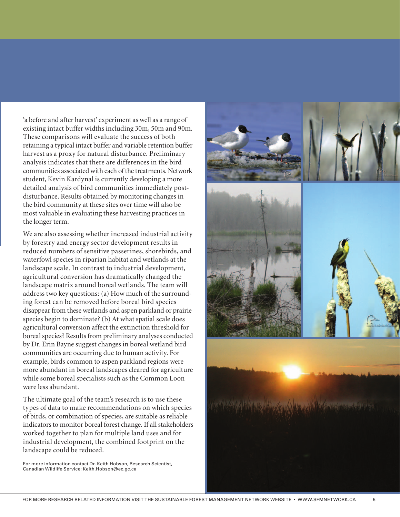'a before and after harvest' experiment as well as a range of existing intact buffer widths including 30m, 50m and 90m. These comparisons will evaluate the success of both retaining a typical intact buffer and variable retention buffer harvest as a proxy for natural disturbance. Preliminary analysis indicates that there are differences in the bird communities associated with each of the treatments. Network student, Kevin Kardynal is currently developing a more detailed analysis of bird communities immediately postdisturbance. Results obtained by monitoring changes in the bird community at these sites over time will also be most valuable in evaluating these harvesting practices in the longer term.

We are also assessing whether increased industrial activity by forestry and energy sector development results in reduced numbers of sensitive passerines, shorebirds, and waterfowl species in riparian habitat and wetlands at the landscape scale. In contrast to industrial development, agricultural conversion has dramatically changed the landscape matrix around boreal wetlands. The team will address two key questions: (a) How much of the surrounding forest can be removed before boreal bird species disappear from these wetlands and aspen parkland or prairie species begin to dominate? (b) At what spatial scale does agricultural conversion affect the extinction threshold for boreal species? Results from preliminary analyses conducted by Dr. Erin Bayne suggest changes in boreal wetland bird communities are occurring due to human activity. For example, birds common to aspen parkland regions were more abundant in boreal landscapes cleared for agriculture while some boreal specialists such as the Common Loon were less abundant.

The ultimate goal of the team's research is to use these types of data to make recommendations on which species of birds, or combination of species, are suitable as reliable indicators to monitor boreal forest change. If all stakeholders worked together to plan for multiple land uses and for industrial development, the combined footprint on the landscape could be reduced.

For more information contact Dr. Keith Hobson, Research Scientist, Canadian Wildlife Service: Keith.Hobson@ec.gc.ca

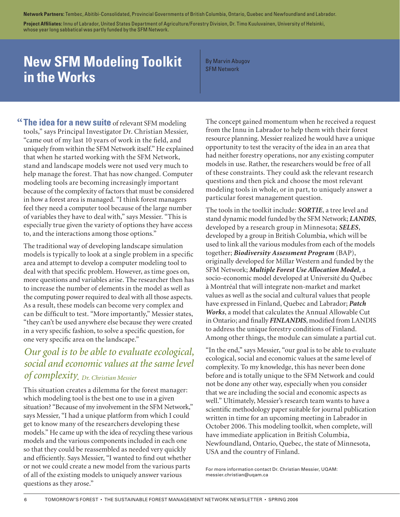**Network Partners:** Tembec, Abitibi-Consolidated, Provincial Governments of British Columbia, Ontario, Quebec and Newfoundland and Labrador.

**Project Affiliates:** Innu of Labrador, United States Department of Agriculture/Forestry Division, Dr. Timo Kuuluvainen, University of Helsinki, whose year long sabbatical was partly funded by the SFM Network.

## **New SFM Modeling Toolkit in the Works**

By Marvin Abugov SFM Network

**The idea for a new suite** of relevant SFM modeling **"** tools," says Principal Investigator Dr. Christian Messier, "came out of my last 10 years of work in the field, and uniquely from within the SFM Network itself." He explained that when he started working with the SFM Network, stand and landscape models were not used very much to help manage the forest. That has now changed. Computer modeling tools are becoming increasingly important because of the complexity of factors that must be considered in how a forest area is managed. "I think forest managers feel they need a computer tool because of the large number of variables they have to deal with," says Messier. "This is especially true given the variety of options they have access to, and the interactions among those options."

The traditional way of developing landscape simulation models is typically to look at a single problem in a specific area and attempt to develop a computer modeling tool to deal with that specific problem. However, as time goes on, more questions and variables arise. The researcher then has to increase the number of elements in the model as well as the computing power required to deal with all those aspects. As a result, these models can become very complex and can be difficult to test. "More importantly," Messier states, "they can't be used anywhere else because they were created in a very specific fashion, to solve a specific question, for one very specific area on the landscape."

## *Our goal is to be able to evaluate ecological, social and economic values at the same level of complexity. Dr. Christian Messier*

This situation creates a dilemma for the forest manager: which modeling tool is the best one to use in a given situation? "Because of my involvement in the SFM Network," says Messier, "I had a unique platform from which I could get to know many of the researchers developing these models." He came up with the idea of recycling these various models and the various components included in each one so that they could be reassembled as needed very quickly and efficiently. Says Messier, "I wanted to find out whether or not we could create a new model from the various parts of all of the existing models to uniquely answer various questions as they arose."

The concept gained momentum when he received a request from the Innu in Labrador to help them with their forest resource planning. Messier realized he would have a unique opportunity to test the veracity of the idea in an area that had neither forestry operations, nor any existing computer models in use. Rather, the researchers would be free of all of these constraints. They could ask the relevant research questions and then pick and choose the most relevant modeling tools in whole, or in part, to uniquely answer a particular forest management question.

The tools in the toolkit include: *SORTIE*, a tree level and stand dynamic model funded by the SFM Network; *LANDIS*, developed by a research group in Minnesota; *SELES*, developed by a group in British Columbia, which will be used to link all the various modules from each of the models together; *Biodiversity Assessment Program* (BAP), originally developed for Millar Western and funded by the SFM Network; *Multiple Forest Use Allocation Model*, a socio-economic model developed at Université du Québec à Montréal that will integrate non-market and market values as well as the social and cultural values that people have expressed in Finland, Quebec and Labrador; *Patch Works*, a model that calculates the Annual Allowable Cut in Ontario; and finally *FINLANDIS*, modified from LANDIS to address the unique forestry conditions of Finland. Among other things, the module can simulate a partial cut.

"In the end," says Messier, "our goal is to be able to evaluate ecological, social and economic values at the same level of complexity. To my knowledge, this has never been done before and is totally unique to the SFM Network and could not be done any other way, especially when you consider that we are including the social and economic aspects as well." Ultimately, Messier's research team wants to have a scientific methodology paper suitable for journal publication written in time for an upcoming meeting in Labrador in October 2006. This modeling toolkit, when complete, will have immediate application in British Columbia, Newfoundland, Ontario, Quebec, the state of Minnesota, USA and the country of Finland.

For more information contact Dr. Christian Messier, UQAM: messier.christian@uqam.ca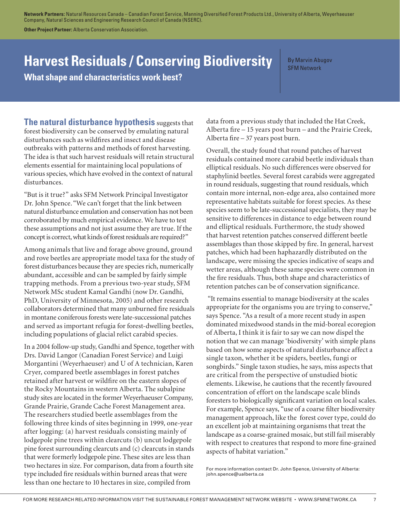**Network Partners:** Natural Resources Canada – Canadian Forest Service, Manning Diversified Forest Products Ltd., University of Alberta, Weyerhaeuser Company, Natural Sciences and Engineering Research Council of Canada (NSERC).

**Other Project Partner:** Alberta Conservation Association.

## **Harvest Residuals / Conserving Biodiversity**

**What shape and characteristics work best?** 

By Marvin Abugov SFM Network

**The natural disturbance hypothesis** suggests that forest biodiversity can be conserved by emulating natural disturbances such as wildfires and insect and disease outbreaks with patterns and methods of forest harvesting. The idea is that such harvest residuals will retain structural elements essential for maintaining local populations of various species, which have evolved in the context of natural disturbances.

"But is it true?" asks SFM Network Principal Investigator Dr. John Spence. "We can't forget that the link between natural disturbance emulation and conservation has not been corroborated by much empirical evidence. We have to test these assumptions and not just assume they are true. If the concept is correct, what kinds of forest residuals are required?"

Among animals that live and forage above ground, ground and rove beetles are appropriate model taxa for the study of forest disturbances because they are species rich, numerically abundant, accessible and can be sampled by fairly simple trapping methods. From a previous two-year study, SFM Network MSc student Kamal Gandhi (now Dr. Gandhi, PhD, University of Minnesota, 2005) and other research collaborators determined that many unburned fire residuals in montane coniferous forests were late-successional patches and served as important refugia for forest-dwelling beetles, including populations of glacial relict carabid species.

In a 2004 follow-up study, Gandhi and Spence, together with Drs. David Langor (Canadian Forest Service) and Luigi Morgantini (Weyerhaeuser) and U of A technician, Karen Cryer, compared beetle assemblages in forest patches retained after harvest or wildfire on the eastern slopes of the Rocky Mountains in western Alberta. The subalpine study sites are located in the former Weyerhaeuser Company, Grande Prairie, Grande Cache Forest Management area. The researchers studied beetle assemblages from the following three kinds of sites beginning in 1999, one-year after logging: (a) harvest residuals consisting mainly of lodgepole pine trees within clearcuts (b) uncut lodgepole pine forest surrounding clearcuts and (c) clearcuts in stands that were formerly lodgepole pine. These sites are less than two hectares in size. For comparison, data from a fourth site type included fire residuals within burned areas that were less than one hectare to 10 hectares in size, compiled from

data from a previous study that included the Hat Creek, Alberta fire – 15 years post burn – and the Prairie Creek, Alberta fire – 37 years post burn.

Overall, the study found that round patches of harvest residuals contained more carabid beetle individuals than elliptical residuals. No such differences were observed for staphylinid beetles. Several forest carabids were aggregated in round residuals, suggesting that round residuals, which contain more internal, non-edge area, also contained more representative habitats suitable for forest species. As these species seem to be late-successional specialists, they may be sensitive to differences in distance to edge between round and elliptical residuals. Furthermore, the study showed that harvest retention patches conserved different beetle assemblages than those skipped by fire. In general, harvest patches, which had been haphazardly distributed on the landscape, were missing the species indicative of seaps and wetter areas, although these same species were common in the fire residuals. Thus, both shape and characteristics of retention patches can be of conservation significance.

 "It remains essential to manage biodiversity at the scales appropriate for the organisms you are trying to conserve," says Spence. "As a result of a more recent study in aspen dominated mixedwood stands in the mid-boreal ecoregion of Alberta, I think it is fair to say we can now dispel the notion that we can manage 'biodiversity' with simple plans based on how some aspects of natural disturbance affect a single taxon, whether it be spiders, beetles, fungi or songbirds." Single taxon studies, he says, miss aspects that are critical from the perspective of unstudied biotic elements. Likewise, he cautions that the recently favoured concentration of effort on the landscape scale blinds foresters to biologically significant variation on local scales. For example, Spence says, "use of a coarse filter biodiversity management approach, like the forest cover type, could do an excellent job at maintaining organisms that treat the landscape as a coarse-grained mosaic, but still fail miserably with respect to creatures that respond to more fine-grained aspects of habitat variation."

For more information contact Dr. John Spence, University of Alberta: john.spence@ualberta.ca